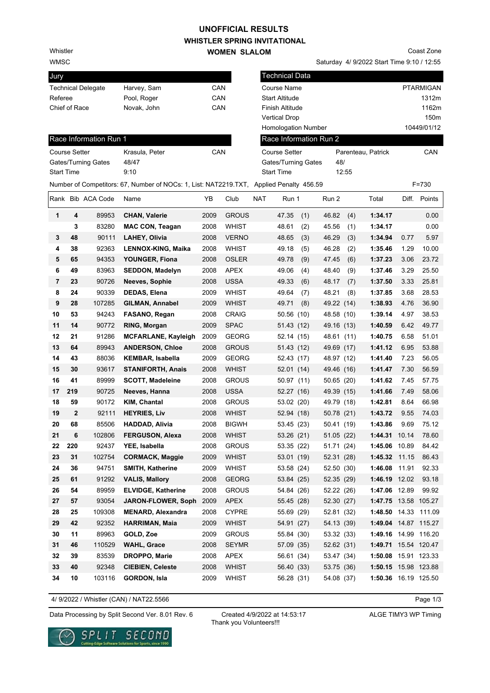# **UNOFFICIAL RESULTS**

Whistler

WMSC

## **WHISTLER SPRING INVITATIONAL**

**WOMEN SLALOM** 

Saturday 4/ 9/2022 Start Time 9:10 / 12:55 Coast Zone

| PTARMIGAN<br>1312m<br>1162m<br>150m<br>10449/01/12<br>CAN<br>$F = 730$ |
|------------------------------------------------------------------------|
|                                                                        |
|                                                                        |
|                                                                        |
|                                                                        |
|                                                                        |
|                                                                        |
|                                                                        |
|                                                                        |
|                                                                        |
|                                                                        |
| Points                                                                 |
| 0.00                                                                   |
| 0.00                                                                   |
| 5.97                                                                   |
| 10.00                                                                  |
| 23.72                                                                  |
| 25.50                                                                  |
| 25.81<br>28.53                                                         |
| 36.90                                                                  |
| 38.53                                                                  |
| 49.77                                                                  |
| 51.01                                                                  |
| 53.88                                                                  |
| 56.05                                                                  |
| 56.59                                                                  |
| 57.75                                                                  |
| 58.06                                                                  |
| 66.98                                                                  |
| 74.03                                                                  |
| 75.12                                                                  |
| 78.60                                                                  |
| 84.42                                                                  |
| 86.43                                                                  |
| 92.33                                                                  |
| 93.18                                                                  |
| 99.92<br>1:47.75 13.58 105.27                                          |
| 1:48.50 14.33 111.09                                                   |
| 1:49.04 14.87 115.27                                                   |
| 1:49.16 14.99 116.20                                                   |
| 1:49.71 15.54 120.47                                                   |
| 1:50.08 15.91 123.33                                                   |
| 1:50.15 15.98 123.88                                                   |
|                                                                        |
|                                                                        |

4/ 9/2022 / Whistler (CAN) / NAT22.5566

Page 1/3

Data Processing by Split Second Ver. 8.01 Rev. 6 Created 4/9/2022 at 14:53:17 ALGE TIMY3 WP Timing

Created 4/9/2022 at 14:53:17 Thank you Volunteers!!!

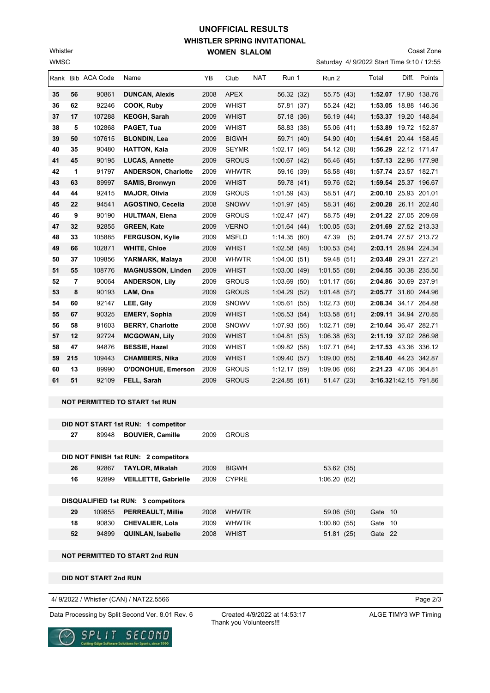## **WHISTLER SPRING INVITATIONAL WOMEN SLALOM UNOFFICIAL RESULTS**

Saturday 4/ 9/2022 Start Time 9:10 / 12:55 Coast Zone

|    |     | Rank Bib ACA Code | Name                       | <b>YB</b> | Club         | <b>NAT</b> | Run 1       | Run 2       |      | Total                 | Diff. | Points |
|----|-----|-------------------|----------------------------|-----------|--------------|------------|-------------|-------------|------|-----------------------|-------|--------|
| 35 | 56  | 90861             | <b>DUNCAN, Alexis</b>      | 2008      | <b>APEX</b>  |            | 56.32 (32)  | 55.75 (43)  |      | 1:52.07 17.90 138.76  |       |        |
| 36 | 62  | 92246             | COOK, Ruby                 | 2009      | <b>WHIST</b> |            | 57.81 (37)  | 55.24 (42)  |      | 1:53.05 18.88 146.36  |       |        |
| 37 | 17  | 107288            | <b>KEOGH, Sarah</b>        | 2009      | <b>WHIST</b> |            | 57.18 (36)  | 56.19 (44)  |      | 1:53.37 19.20 148.84  |       |        |
| 38 | 5   | 102868            | PAGET, Tua                 | 2009      | <b>WHIST</b> |            | 58.83 (38)  | 55.06 (41)  |      | 1:53.89 19.72 152.87  |       |        |
| 39 | 50  | 107615            | <b>BLONDIN, Lea</b>        | 2009      | <b>BIGWH</b> |            | 59.71 (40)  | 54.90 (40)  |      | 1:54.61 20.44 158.45  |       |        |
| 40 | 35  | 90480             | <b>HATTON, Kaia</b>        | 2009      | <b>SEYMR</b> |            | 1:02.17(46) | 54.12 (38)  |      | 1:56.29 22.12 171.47  |       |        |
| 41 | 45  | 90195             | <b>LUCAS, Annette</b>      | 2009      | <b>GROUS</b> |            | 1:00.67(42) | 56.46 (45)  |      | 1:57.13 22.96 177.98  |       |        |
| 42 | 1   | 91797             | <b>ANDERSON, Charlotte</b> | 2009      | <b>WHWTR</b> |            | 59.16 (39)  | 58.58 (48)  |      | 1:57.74 23.57 182.71  |       |        |
| 43 | 63  | 89997             | <b>SAMIS, Bronwyn</b>      | 2009      | <b>WHIST</b> |            | 59.78 (41)  | 59.76 (52)  |      | 1:59.54 25.37 196.67  |       |        |
| 44 | 44  | 92415             | <b>MAJOR, Olivia</b>       | 2009      | <b>GROUS</b> |            | 1:01.59(43) | 58.51 (47)  |      | 2:00.10 25.93 201.01  |       |        |
| 45 | 22  | 94541             | <b>AGOSTINO, Cecelia</b>   | 2008      | <b>SNOWV</b> |            | 1:01.97(45) | 58.31 (46)  |      | 2:00.28 26.11 202.40  |       |        |
| 46 | 9   | 90190             | <b>HULTMAN, Elena</b>      | 2009      | <b>GROUS</b> |            | 1:02.47(47) | 58.75 (49)  |      | 2:01.22 27.05 209.69  |       |        |
| 47 | 32  | 92855             | <b>GREEN, Kate</b>         | 2009      | <b>VERNO</b> |            | 1:01.64(44) | 1:00.05(53) |      | 2:01.69 27.52 213.33  |       |        |
| 48 | 33  | 105885            | <b>FERGUSON, Kylie</b>     | 2009      | <b>MSFLD</b> |            | 1:14.35(60) | 47.39       | (5)  | 2:01.74 27.57 213.72  |       |        |
| 49 | 66  | 102871            | <b>WHITE, Chloe</b>        | 2009      | <b>WHIST</b> |            | 1:02.58(48) | 1:00.53(54) |      | 2:03.11 28.94 224.34  |       |        |
| 50 | 37  | 109856            | YARMARK, Malaya            | 2008      | <b>WHWTR</b> |            | 1:04.00(51) | 59.48 (51)  |      | 2:03.48 29.31 227.21  |       |        |
| 51 | 55  | 108776            | <b>MAGNUSSON, Linden</b>   | 2009      | <b>WHIST</b> |            | 1:03.00(49) | 1:01.55(58) |      | 2:04.55 30.38 235.50  |       |        |
| 52 | 7   | 90064             | <b>ANDERSON, Lily</b>      | 2009      | <b>GROUS</b> |            | 1:03.69(50) | 1:01.17(56) |      | 2:04.86 30.69 237.91  |       |        |
| 53 | 8   | 90193             | LAM, Ona                   | 2009      | <b>GROUS</b> |            | 1:04.29(52) | 1:01.48(57) |      | 2:05.77 31.60 244.96  |       |        |
| 54 | 60  | 92147             | LEE, Gily                  | 2009      | <b>SNOWV</b> |            | 1:05.61(55) | 1:02.73(60) |      | 2:08.34 34.17 264.88  |       |        |
| 55 | 67  | 90325             | <b>EMERY, Sophia</b>       | 2009      | <b>WHIST</b> |            | 1:05.53(54) | 1:03.58(61) |      | 2:09.11 34.94 270.85  |       |        |
| 56 | 58  | 91603             | <b>BERRY, Charlotte</b>    | 2008      | <b>SNOWV</b> |            | 1:07.93(56) | 1:02.71(59) |      | 2:10.64 36.47 282.71  |       |        |
| 57 | 12  | 92724             | <b>MCGOWAN, Lily</b>       | 2009      | <b>WHIST</b> |            | 1:04.81(53) | 1:06.38(63) |      | 2:11.19 37.02 286.98  |       |        |
| 58 | 47  | 94876             | <b>BESSIE, Hazel</b>       | 2009      | <b>WHIST</b> |            | 1:09.82(58) | 1:07.71     | (64) | 2:17.53 43.36 336.12  |       |        |
| 59 | 215 | 109443            | <b>CHAMBERS, Nika</b>      | 2009      | <b>WHIST</b> |            | 1:09.40(57) | 1:09.00     | (65) | 2:18.40 44.23 342.87  |       |        |
| 60 | 13  | 89990             | <b>O'DONOHUE, Emerson</b>  | 2009      | <b>GROUS</b> |            | 1:12.17(59) | 1:09.06     | (66) | 2:21.23 47.06 364.81  |       |        |
| 61 | 51  | 92109             | FELL, Sarah                | 2009      | <b>GROUS</b> |            | 2:24.85(61) | 51.47 (23)  |      | 3:16.321:42.15 791.86 |       |        |

#### **NOT PERMITTED TO START 1st RUN**

WMSC Whistler

|                                       |        | DID NOT START 1st RUN: 1 competitor        |      |              |  |             |  |         |  |  |  |
|---------------------------------------|--------|--------------------------------------------|------|--------------|--|-------------|--|---------|--|--|--|
| 27                                    | 89948  | <b>BOUVIER, Camille</b>                    | 2009 | <b>GROUS</b> |  |             |  |         |  |  |  |
|                                       |        |                                            |      |              |  |             |  |         |  |  |  |
| DID NOT FINISH 1st RUN: 2 competitors |        |                                            |      |              |  |             |  |         |  |  |  |
| 26                                    | 92867  | <b>TAYLOR, Mikalah</b>                     | 2009 | <b>BIGWH</b> |  | 53.62 (35)  |  |         |  |  |  |
| 16                                    | 92899  | <b>VEILLETTE, Gabrielle</b>                | 2009 | <b>CYPRE</b> |  | 1:06.20(62) |  |         |  |  |  |
|                                       |        |                                            |      |              |  |             |  |         |  |  |  |
|                                       |        | <b>DISQUALIFIED 1st RUN: 3 competitors</b> |      |              |  |             |  |         |  |  |  |
| 29                                    | 109855 | <b>PERREAULT, Millie</b>                   | 2008 | <b>WHWTR</b> |  | 59.06 (50)  |  | Gate 10 |  |  |  |
| 18                                    | 90830  | <b>CHEVALIER, Lola</b>                     | 2009 | <b>WHWTR</b> |  | 1:00.80(55) |  | Gate 10 |  |  |  |
| 52                                    | 94899  | <b>QUINLAN, Isabelle</b>                   | 2008 | <b>WHIST</b> |  | 51.81(25)   |  | Gate 22 |  |  |  |
|                                       |        |                                            |      |              |  |             |  |         |  |  |  |

**NOT PERMITTED TO START 2nd RUN**

**DID NOT START 2nd RUN**

4/ 9/2022 / Whistler (CAN) / NAT22.5566

Data Processing by Split Second Ver. 8.01 Rev. 6 Created 4/9/2022 at 14:53:17 ALGE TIMY3 WP Timing



Created 4/9/2022 at 14:53:17 Thank you Volunteers!!!

Page 2/3